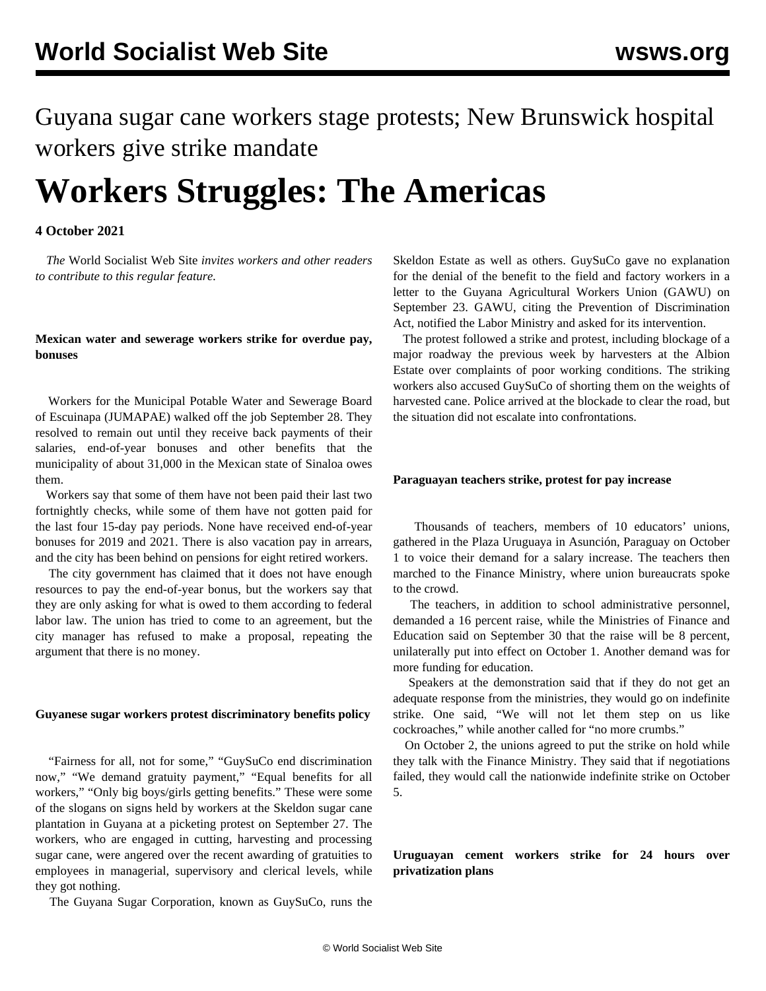Guyana sugar cane workers stage protests; New Brunswick hospital workers give strike mandate

# **Workers Struggles: The Americas**

## **4 October 2021**

 *The* World Socialist Web Site *invites workers and other readers to contribute to this regular feature.*

## **Mexican water and sewerage workers strike for overdue pay, bonuses**

 Workers for the Municipal Potable Water and Sewerage Board of Escuinapa (JUMAPAE) walked off the job September 28. They resolved to remain out until they receive back payments of their salaries, end-of-year bonuses and other benefits that the municipality of about 31,000 in the Mexican state of Sinaloa owes them.

 Workers say that some of them have not been paid their last two fortnightly checks, while some of them have not gotten paid for the last four 15-day pay periods. None have received end-of-year bonuses for 2019 and 2021. There is also vacation pay in arrears, and the city has been behind on pensions for eight retired workers.

 The city government has claimed that it does not have enough resources to pay the end-of-year bonus, but the workers say that they are only asking for what is owed to them according to federal labor law. The union has tried to come to an agreement, but the city manager has refused to make a proposal, repeating the argument that there is no money.

#### **Guyanese sugar workers protest discriminatory benefits policy**

 "Fairness for all, not for some," "GuySuCo end discrimination now," "We demand gratuity payment," "Equal benefits for all workers," "Only big boys/girls getting benefits." These were some of the slogans on signs held by workers at the Skeldon sugar cane plantation in Guyana at a picketing protest on September 27. The workers, who are engaged in cutting, harvesting and processing sugar cane, were angered over the recent awarding of gratuities to employees in managerial, supervisory and clerical levels, while they got nothing.

The Guyana Sugar Corporation, known as GuySuCo, runs the

Skeldon Estate as well as others. GuySuCo gave no explanation for the denial of the benefit to the field and factory workers in a letter to the Guyana Agricultural Workers Union (GAWU) on September 23. GAWU, citing the Prevention of Discrimination Act, notified the Labor Ministry and asked for its intervention.

 The protest followed a strike and protest, including blockage of a major roadway the previous week by harvesters at the Albion Estate over complaints of poor working conditions. The striking workers also accused GuySuCo of shorting them on the weights of harvested cane. Police arrived at the blockade to clear the road, but the situation did not escalate into confrontations.

#### **Paraguayan teachers strike, protest for pay increase**

 Thousands of teachers, members of 10 educators' unions, gathered in the Plaza Uruguaya in Asunción, Paraguay on October 1 to voice their demand for a salary increase. The teachers then marched to the Finance Ministry, where union bureaucrats spoke to the crowd.

 The teachers, in addition to school administrative personnel, demanded a 16 percent raise, while the Ministries of Finance and Education said on September 30 that the raise will be 8 percent, unilaterally put into effect on October 1. Another demand was for more funding for education.

 Speakers at the demonstration said that if they do not get an adequate response from the ministries, they would go on indefinite strike. One said, "We will not let them step on us like cockroaches," while another called for "no more crumbs."

 On October 2, the unions agreed to put the strike on hold while they talk with the Finance Ministry. They said that if negotiations failed, they would call the nationwide indefinite strike on October 5.

### **Uruguayan cement workers strike for 24 hours over privatization plans**